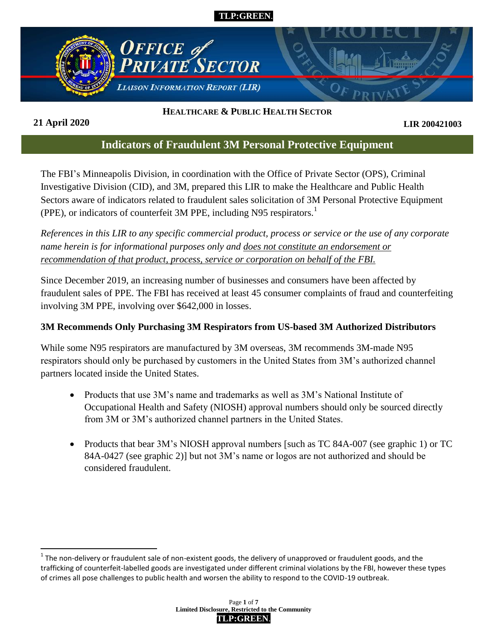



# **HEALTHCARE & PUBLIC HEALTH SECTOR**

**21 April 2020**

 $\overline{a}$ 

**LIR 200421003**

# **Indicators of Fraudulent 3M Personal Protective Equipment**

The FBI's Minneapolis Division, in coordination with the Office of Private Sector (OPS), Criminal Investigative Division (CID), and 3M, prepared this LIR to make the Healthcare and Public Health Sectors aware of indicators related to fraudulent sales solicitation of 3M Personal Protective Equipment (PPE), or indicators of counterfeit 3M PPE, including N95 respirators.<sup>1</sup>

*References in this LIR to any specific commercial product, process or service or the use of any corporate name herein is for informational purposes only and does not constitute an endorsement or recommendation of that product, process, service or corporation on behalf of the FBI.*

Since December 2019, an increasing number of businesses and consumers have been affected by fraudulent sales of PPE. The FBI has received at least 45 consumer complaints of fraud and counterfeiting involving 3M PPE, involving over \$642,000 in losses.

#### **3M Recommends Only Purchasing 3M Respirators from US-based 3M Authorized Distributors**

While some N95 respirators are manufactured by 3M overseas, 3M recommends 3M-made N95 respirators should only be purchased by customers in the United States from 3M's authorized channel partners located inside the United States.

- Products that use 3M's name and trademarks as well as 3M's National Institute of Occupational Health and Safety (NIOSH) approval numbers should only be sourced directly from 3M or 3M's authorized channel partners in the United States.
- Products that bear 3M's NIOSH approval numbers [such as TC 84A-007 (see graphic 1) or TC 84A-0427 (see graphic 2)] but not 3M's name or logos are not authorized and should be considered fraudulent.

 $1$  The non-delivery or fraudulent sale of non-existent goods, the delivery of unapproved or fraudulent goods, and the trafficking of counterfeit-labelled goods are investigated under different criminal violations by the FBI, however these types of crimes all pose challenges to public health and worsen the ability to respond to the COVID-19 outbreak.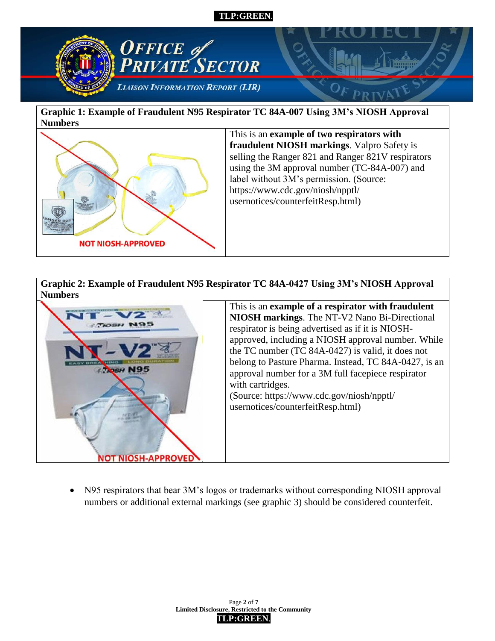

**Graphic 1: Example of Fraudulent N95 Respirator TC 84A-007 Using 3M's NIOSH Approval Numbers**



This is an **example of two respirators with fraudulent NIOSH markings**. Valpro Safety is selling the Ranger 821 and Ranger 821V respirators using the 3M approval number (TC-84A-007) and label without 3M's permission. (Source: https://www.cdc.gov/niosh/npptl/ usernotices/counterfeitResp.html)

**Graphic 2: Example of Fraudulent N95 Respirator TC 84A-0427 Using 3M's NIOSH Approval Numbers**



This is an **example of a respirator with fraudulent NIOSH markings**. The NT-V2 Nano Bi-Directional respirator is being advertised as if it is NIOSHapproved, including a NIOSH approval number. While the TC number (TC 84A-0427) is valid, it does not belong to Pasture Pharma. Instead, TC 84A-0427, is an approval number for a 3M full facepiece respirator with cartridges. (Source: https://www.cdc.gov/niosh/npptl/ usernotices/counterfeitResp.html)

• N95 respirators that bear 3M's logos or trademarks without corresponding NIOSH approval numbers or additional external markings (see graphic 3) should be considered counterfeit.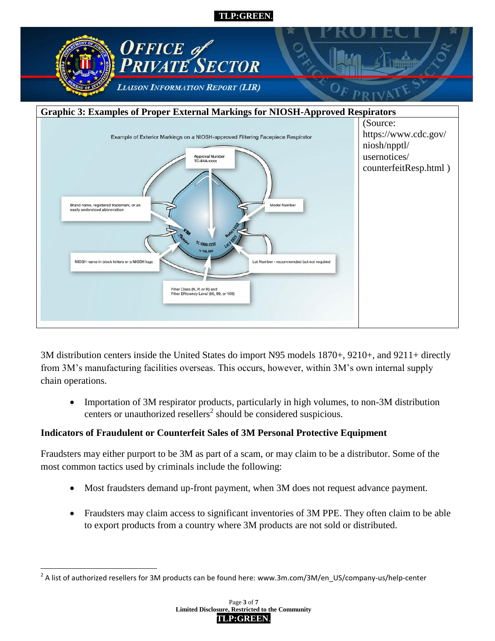



3M distribution centers inside the United States do import N95 models 1870+, 9210+, and 9211+ directly from 3M's manufacturing facilities overseas. This occurs, however, within 3M's own internal supply chain operations.

 Importation of 3M respirator products, particularly in high volumes, to non-3M distribution centers or unauthorized resellers<sup>2</sup> should be considered suspicious.

#### **Indicators of Fraudulent or Counterfeit Sales of 3M Personal Protective Equipment**

Fraudsters may either purport to be 3M as part of a scam, or may claim to be a distributor. Some of the most common tactics used by criminals include the following:

- Most fraudsters demand up-front payment, when 3M does not request advance payment.
- Fraudsters may claim access to significant inventories of 3M PPE. They often claim to be able to export products from a country where 3M products are not sold or distributed.

 $\overline{a}$  $^2$  A list of authorized resellers for 3M products can be found here: www.3m.com/3M/en\_US/company-us/help-center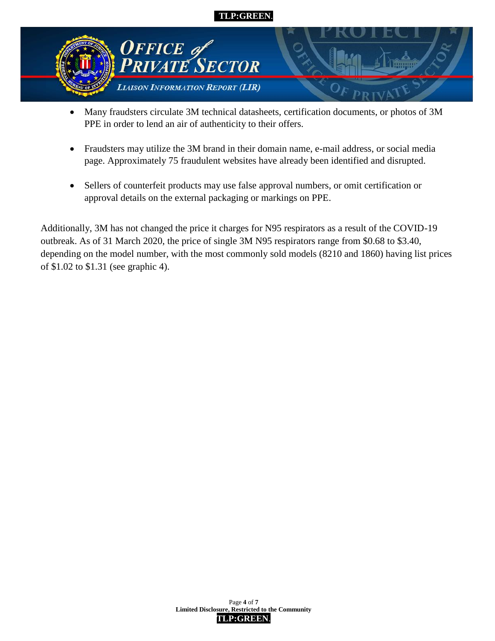

- Many fraudsters circulate 3M technical datasheets, certification documents, or photos of 3M PPE in order to lend an air of authenticity to their offers.
- Fraudsters may utilize the 3M brand in their domain name, e-mail address, or social media page. Approximately 75 fraudulent websites have already been identified and disrupted.
- Sellers of counterfeit products may use false approval numbers, or omit certification or approval details on the external packaging or markings on PPE.

Additionally, 3M has not changed the price it charges for N95 respirators as a result of the COVID-19 outbreak. As of 31 March 2020, the price of single 3M N95 respirators range from \$0.68 to \$3.40, depending on the model number, with the most commonly sold models (8210 and 1860) having list prices of \$1.02 to \$1.31 (see graphic 4).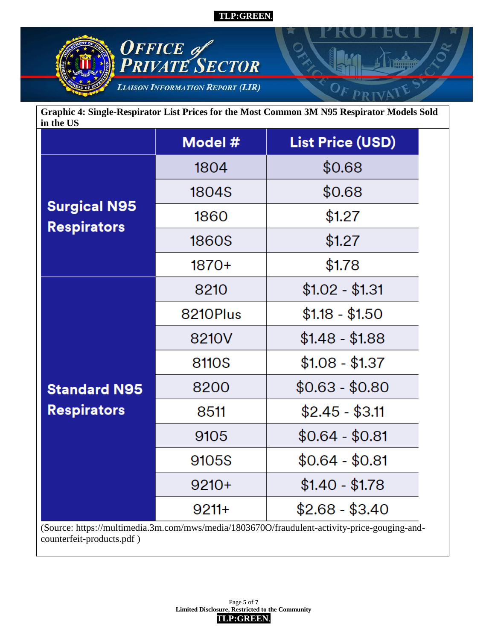

**Graphic 4: Single-Respirator List Prices for the Most Common 3M N95 Respirator Models Sold in the US**

|                                                                                                                           | Model #      | <b>List Price (USD)</b> |  |
|---------------------------------------------------------------------------------------------------------------------------|--------------|-------------------------|--|
| <b>Surgical N95</b><br><b>Respirators</b>                                                                                 | 1804         | \$0.68                  |  |
|                                                                                                                           | 1804S        | \$0.68                  |  |
|                                                                                                                           | 1860         | \$1.27                  |  |
|                                                                                                                           | <b>1860S</b> | \$1.27                  |  |
|                                                                                                                           | $1870+$      | \$1.78                  |  |
| <b>Standard N95</b><br><b>Respirators</b>                                                                                 | 8210         | $$1.02 - $1.31$         |  |
|                                                                                                                           | 8210Plus     | $$1.18 - $1.50$         |  |
|                                                                                                                           | 8210V        | $$1.48 - $1.88$         |  |
|                                                                                                                           | 8110S        | $$1.08 - $1.37$         |  |
|                                                                                                                           | 8200         | $$0.63 - $0.80$         |  |
|                                                                                                                           | 8511         | $$2.45 - $3.11$         |  |
|                                                                                                                           | 9105         | $$0.64 - $0.81$         |  |
|                                                                                                                           | 9105S        | $$0.64 - $0.81$         |  |
|                                                                                                                           | $9210+$      | $$1.40 - $1.78$         |  |
|                                                                                                                           | $9211+$      | $$2.68 - $3.40$         |  |
| (Source: https://multimedia.3m.com/mws/media/1803670O/fraudulent-activity-price-gouging-and-<br>counterfeit-products.pdf) |              |                         |  |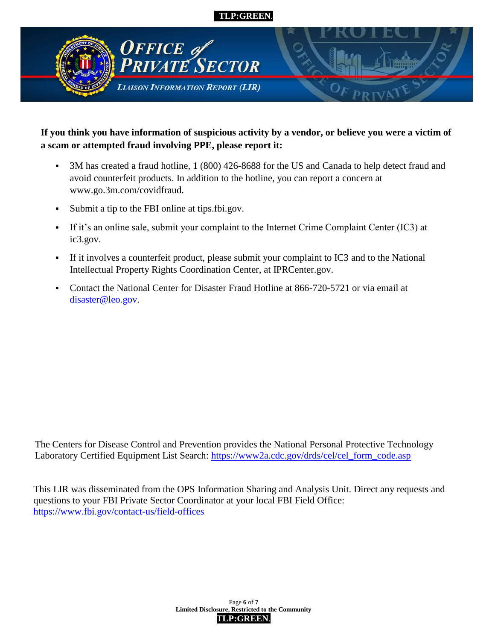

# **If you think you have information of suspicious activity by a vendor, or believe you were a victim of a scam or attempted fraud involving PPE, please report it:**

- 3M has created a fraud hotline, 1 (800) 426-8688 for the US and Canada to help detect fraud and avoid counterfeit products. In addition to the hotline, you can report a concern at www.go.3m.com/covidfraud.
- Submit a tip to the FBI online at tips.fbi.gov.
- If it's an online sale, submit your complaint to the Internet Crime Complaint Center (IC3) at ic3.gov.
- If it involves a counterfeit product, please submit your complaint to IC3 and to the National Intellectual Property Rights Coordination Center, at IPRCenter.gov.
- Contact the National Center for Disaster Fraud Hotline at 866-720-5721 or via email at [disaster@leo.gov.](mailto:disaster@leo.gov)

The Centers for Disease Control and Prevention provides the National Personal Protective Technology Laboratory Certified Equipment List Search: [https://www2a.cdc.gov/drds/cel/cel\\_form\\_code.asp](https://www2a.cdc.gov/drds/cel/cel_form_code.asp)

This LIR was disseminated from the OPS Information Sharing and Analysis Unit. Direct any requests and questions to your FBI Private Sector Coordinator at your local FBI Field Office: <https://www.fbi.gov/contact-us/field-offices>